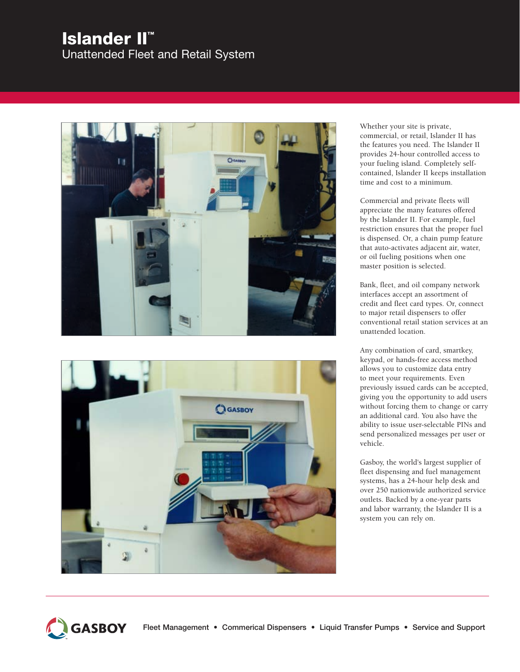# **Islander II™**

Unattended Fleet and Retail System





Whether your site is private, commercial, or retail, Islander II has the features you need. The Islander II provides 24-hour controlled access to your fueling island. Completely selfcontained, Islander II keeps installation time and cost to a minimum.

Commercial and private fleets will appreciate the many features offered by the Islander II. For example, fuel restriction ensures that the proper fuel is dispensed. Or, a chain pump feature that auto-activates adjacent air, water, or oil fueling positions when one master position is selected.

Bank, fleet, and oil company network interfaces accept an assortment of credit and fleet card types. Or, connect to major retail dispensers to offer conventional retail station services at an unattended location.

Any combination of card, smartkey, keypad, or hands-free access method allows you to customize data entry to meet your requirements. Even previously issued cards can be accepted, giving you the opportunity to add users without forcing them to change or carry an additional card. You also have the ability to issue user-selectable PINs and send personalized messages per user or vehicle.

Gasboy, the world's largest supplier of fleet dispensing and fuel management systems, has a 24-hour help desk and over 250 nationwide authorized service outlets. Backed by a one-year parts and labor warranty, the Islander II is a system you can rely on.